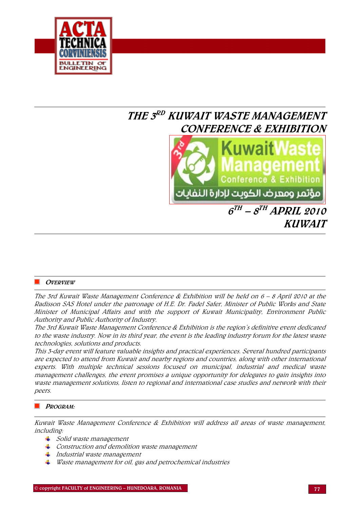

# THE 3RD KUWAIT WASTE MANAGEMENT CONFERENCE & EXHIBITION



 $6^{TH}$  –  $8^{TH}$  APRIL 2010 KUWAIT

#### **OVERVIEW**

The 3rd Kuwait Waste Management Conference & Exhibition will be held on 6 – 8 April 2010 at the Radisson SAS Hotel under the patronage of H.E. Dr. Fadel Safer, Minister of Public Works and State Minister of Municipal Affairs and with the support of Kuwait Municipality, Environment Public Authority and Public Authority of Industry.

The 3rd Kuwait Waste Management Conference & Exhibition is the region's definitive event dedicated to the waste industry. Now in its third year, the event is the leading industry forum for the latest waste technologies, solutions and products.

This 3-day event will feature valuable insights and practical experiences. Several hundred participants are expected to attend from Kuwait and nearby regions and countries, along with other international experts. With multiple technical sessions focused on municipal, industrial and medical waste management challenges, the event promises a unique opportunity for delegates to gain insights into waste management solutions, listen to regional and international case studies and network with their peers.

#### PROGRAM:

Kuwait Waste Management Conference & Exhibition will address all areas of waste management, including:

- $\frac{1}{\sqrt{2}}$  Solid waste management
- $\overline{\phantom{a} \bullet}$  Construction and demolition waste management
- $\frac{1}{\sqrt{1-\frac{1}{\sqrt{1-\frac{1}{\sqrt{1-\frac{1}{\sqrt{1-\frac{1}{\sqrt{1-\frac{1}{\sqrt{1-\frac{1}{\sqrt{1-\frac{1}{\sqrt{1-\frac{1}{\sqrt{1-\frac{1}{\sqrt{1-\frac{1}{\sqrt{1-\frac{1}{\sqrt{1-\frac{1}{\sqrt{1-\frac{1}{\sqrt{1-\frac{1}{\sqrt{1-\frac{1}{\sqrt{1-\frac{1}{\sqrt{1-\frac{1}{\sqrt{1-\frac{1}{\sqrt{1-\frac{1}{\sqrt{1-\frac{1}{\sqrt{1-\frac{1}{\sqrt{1-\frac{1}{\sqrt{1-\frac{1}{\sqrt{1-\frac{1$
- Waste management for oil, gas and petrochemical industries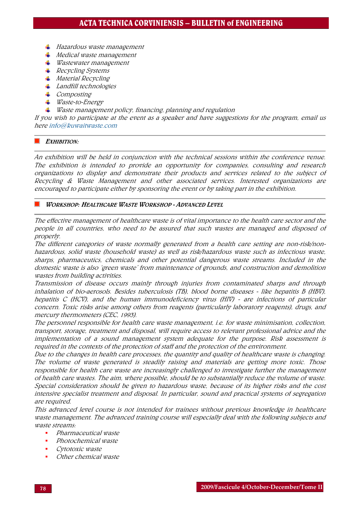- $\pm$  Hazardous waste management
- $\frac{1}{\sqrt{2}}$  Medical waste management
- $\frac{1}{\sqrt{2}}$  Wastewater management
- $\textcolor{red}{\textbf{4}}$  Recycling Systems
- $Materal$  *Material Recycling*
- **Landfill technologies**
- $\perp$  *Composting*
- Waste-to-Energy
- $\ddotplus$  Waste management policy, financing, planning and regulation

If you wish to participate at the event as a speaker and have suggestions for the program, email us here [info@kuwaitwaste.com](mailto:info@kuwaitwaste.com)

#### EXHIBITION:

An exhibition will be held in conjunction with the technical sessions within the conference venue. The exhibition is intended to provide an opportunity for companies, consulting and research organizations to display and demonstrate their products and services related to the subject of Recycling & Waste Management and other associated services. Interested organizations are encouraged to participate either by sponsoring the event or by taking part in the exhibition.

#### WORKSHOP: HEALTHCARE WASTE WORKSHOP - ADVANCED LEVEL

The effective management of healthcare waste is of vital importance to the health care sector and the people in all countries, who need to be assured that such wastes are managed and disposed of properly.

The different categories of waste normally generated from a health care setting are non-risk/nonhazardous, solid waste (household waste) as well as risk/hazardous waste such as infectious waste, sharps, pharmaceutics, chemicals and other potential dangerous waste streams. Included in the domestic waste is also 'green waste' from maintenance of grounds, and construction and demolition wastes from building activities.

Transmission of disease occurs mainly through injuries from contaminated sharps and through inhalation of bio-aerosols. Besides tuberculosis (TB), blood borne diseases - like hepatitis B (HBV), hepatitis C (HCV), and the human immunodeficiency virus (HIV) - are infections of particular concern. Toxic risks arise among others from reagents (particularly laboratory reagents), drugs, and mercury thermometers (CEC, 1993).

The personnel responsible for health care waste management, i.e. for waste minimisation, collection, transport, storage, treatment and disposal, will require access to relevant professional advice and the implementation of a sound management system adequate for the purpose. Risk assessment is required in the contexts of the protection of staff and the protection of the environment.

Due to the changes in health care processes, the quantity and quality of healthcare waste is changing. The volume of waste generated is steadily raising and materials are getting more toxic. Those responsible for health care waste are increasingly challenged to investigate further the management of health care wastes. The aim, where possible, should be to substantially reduce the volume of waste. Special consideration should be given to hazardous waste, because of its higher risks and the cost intensive specialist treatment and disposal. In particular, sound and practical systems of segregation are required.

This advanced level course is not intended for trainees without previous knowledge in healthcare waste management. The advanced training course will especially deal with the following subjects and waste streams:

- Pharmaceutical waste
- Photochemical waste
- Cytotoxic waste
- Other chemical waste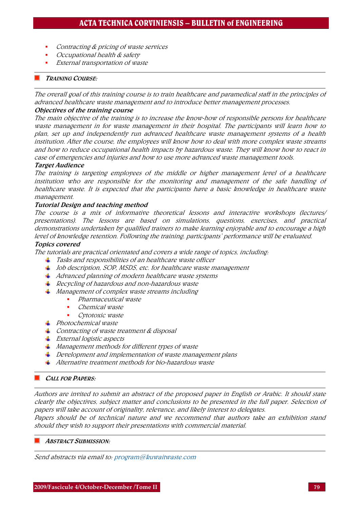- Contracting & pricing of waste services
- Occupational health & safety
- External transportation of waste

#### TRAINING COURSE:

The overall goal of this training course is to train healthcare and paramedical staff in the principles of advanced healthcare waste management and to introduce better management processes.

## Objectives of the training course

The main objective of the training is to increase the know-how of responsible persons for healthcare waste management in for waste management in their hospital. The participants will learn how to plan, set up and independently run advanced healthcare waste management systems of a health institution. After the course, the employees will know how to deal with more complex waste streams and how to reduce occupational health impacts by hazardous waste. They will know how to react in case of emergencies and injuries and how to use more advanced waste management tools.

#### Target Audience

The training is targeting employees of the middle or higher management level of a healthcare institution who are responsible for the monitoring and management of the safe handling of healthcare waste. It is expected that the participants have a basic knowledge in healthcare waste management.

## Tutorial Design and teaching method

The course is a mix of informative theoretical lessons and interactive workshops (lectures/ presentations). The lessons are based on simulations, questions, exercises, and practical demonstrations undertaken by qualified trainers to make learning enjoyable and to encourage a high level of knowledge retention. Following the training, participants' performance will be evaluated.

#### Topics covered

The tutorials are practical orientated and covers a wide range of topics, including:

- $\frac{1}{\sqrt{2}}$  Tasks and responsibilities of an healthcare waste officer
- $\downarrow$  Job description, SOP, MSDS, etc. for healthcare waste management
- $\overline{+}$  Advanced planning of modern healthcare waste systems
- $\textcolor{red}{\downarrow}$  Recycling of hazardous and non-hazardous waste
- $\frac{1}{\sqrt{2}}$  Management of complex waste streams including
	- Pharmaceutical waste
	- Chemical waste
	- **Cytotoxic waste**
- $\Box$  Photochemical waste
- $\overline{\phantom{a}}$  Contracting of waste treatment & disposal
- $\frac{1}{\sqrt{2}}$  External logistic aspects
- $\ddot{*}$  Management methods for different types of waste
- $\pm$  Development and implementation of waste management plans
- $\ddot{*}$  Alternative treatment methods for bio-hazardous waste

#### CALL FOR PAPERS:

Authors are invited to submit an abstract of the proposed paper in English or Arabic. It should state clearly the objectives, subject matter and conclusions to be presented in the full paper. Selection of papers will take account of originality, relevance, and likely interest to delegates.

Papers should be of technical nature and we recommend that authors take an exhibition stand should they wish to support their presentations with commercial material.

#### ABSTRACT SUBMISSION:

Send abstracts via email to: [program@kuwaitwaste.com](mailto:program@kuwaitwaste.com)